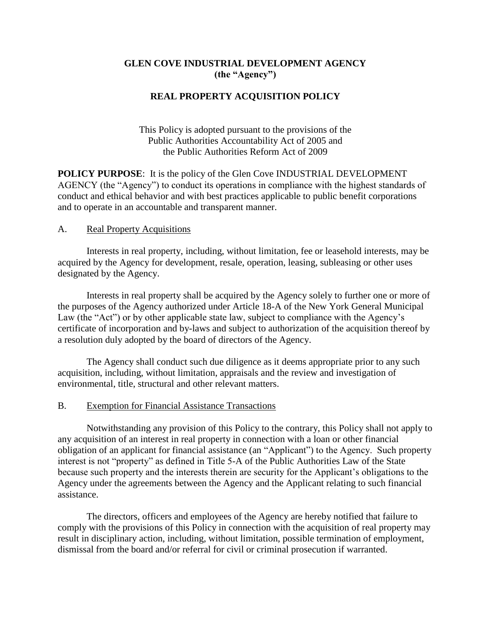## **GLEN COVE INDUSTRIAL DEVELOPMENT AGENCY (the "Agency")**

## **REAL PROPERTY ACQUISITION POLICY**

This Policy is adopted pursuant to the provisions of the Public Authorities Accountability Act of 2005 and the Public Authorities Reform Act of 2009

**POLICY PURPOSE**: It is the policy of the Glen Cove INDUSTRIAL DEVELOPMENT AGENCY (the "Agency") to conduct its operations in compliance with the highest standards of conduct and ethical behavior and with best practices applicable to public benefit corporations and to operate in an accountable and transparent manner.

## A. Real Property Acquisitions

Interests in real property, including, without limitation, fee or leasehold interests, may be acquired by the Agency for development, resale, operation, leasing, subleasing or other uses designated by the Agency.

Interests in real property shall be acquired by the Agency solely to further one or more of the purposes of the Agency authorized under Article 18-A of the New York General Municipal Law (the "Act") or by other applicable state law, subject to compliance with the Agency's certificate of incorporation and by-laws and subject to authorization of the acquisition thereof by a resolution duly adopted by the board of directors of the Agency.

The Agency shall conduct such due diligence as it deems appropriate prior to any such acquisition, including, without limitation, appraisals and the review and investigation of environmental, title, structural and other relevant matters.

## B. Exemption for Financial Assistance Transactions

Notwithstanding any provision of this Policy to the contrary, this Policy shall not apply to any acquisition of an interest in real property in connection with a loan or other financial obligation of an applicant for financial assistance (an "Applicant") to the Agency. Such property interest is not "property" as defined in Title 5-A of the Public Authorities Law of the State because such property and the interests therein are security for the Applicant's obligations to the Agency under the agreements between the Agency and the Applicant relating to such financial assistance.

The directors, officers and employees of the Agency are hereby notified that failure to comply with the provisions of this Policy in connection with the acquisition of real property may result in disciplinary action, including, without limitation, possible termination of employment, dismissal from the board and/or referral for civil or criminal prosecution if warranted.